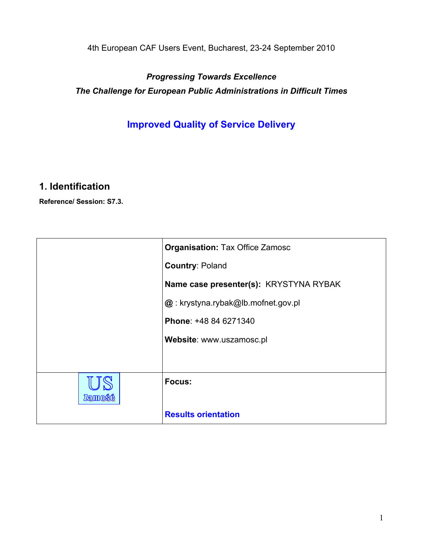4th European CAF Users Event, Bucharest, 23-24 September 2010

*Progressing Towards Excellence The Challenge for European Public Administrations in Difficult Times*

**Improved Quality of Service Delivery**

# **1. Identification**

**Reference/ Session: S7.3.**

|        | <b>Organisation: Tax Office Zamosc</b>   |
|--------|------------------------------------------|
|        | <b>Country: Poland</b>                   |
|        | Name case presenter(s): KRYSTYNA RYBAK   |
|        | $@:$ krystyna.rybak $@$ lb.mofnet.gov.pl |
|        | Phone: +48 84 6271340                    |
|        | Website: www.uszamosc.pl                 |
|        |                                          |
| Zamošč | Focus:                                   |
|        | <b>Results orientation</b>               |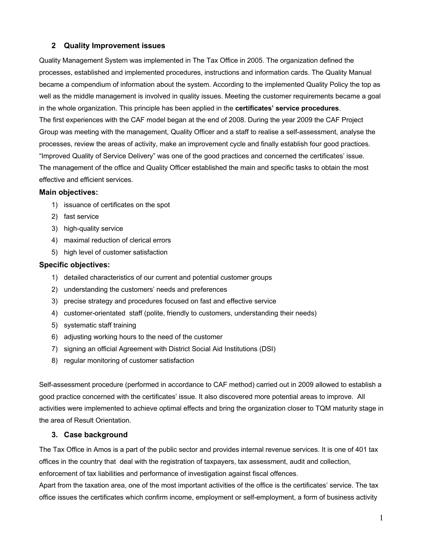## **2 Quality Improvement issues**

Quality Management System was implemented in The Tax Office in 2005. The organization defined the processes, established and implemented procedures, instructions and information cards. The Quality Manual became a compendium of information about the system. According to the implemented Quality Policy the top as well as the middle management is involved in quality issues. Meeting the customer requirements became a goal in the whole organization. This principle has been applied in the **certificates' service procedures**. The first experiences with the CAF model began at the end of 2008. During the year 2009 the CAF Project Group was meeting with the management, Quality Officer and a staff to realise a self-assessment, analyse the processes, review the areas of activity, make an improvement cycle and finally establish four good practices. "Improved Quality of Service Delivery" was one of the good practices and concerned the certificates' issue. The management of the office and Quality Officer established the main and specific tasks to obtain the most effective and efficient services.

#### **Main objectives:**

- 1) issuance of certificates on the spot
- 2) fast service
- 3) high-quality service
- 4) maximal reduction of clerical errors
- 5) high level of customer satisfaction

#### **Specific objectives:**

- 1) detailed characteristics of our current and potential customer groups
- 2) understanding the customers' needs and preferences
- 3) precise strategy and procedures focused on fast and effective service
- 4) customer-orientated staff (polite, friendly to customers, understanding their needs)
- 5) systematic staff training
- 6) adjusting working hours to the need of the customer
- 7) signing an official Agreement with District Social Aid Institutions (DSI)
- 8) regular monitoring of customer satisfaction

Self-assessment procedure (performed in accordance to CAF method) carried out in 2009 allowed to establish a good practice concerned with the certificates' issue. It also discovered more potential areas to improve. All activities were implemented to achieve optimal effects and bring the organization closer to TQM maturity stage in the area of Result Orientation.

#### **3. Case background**

The Tax Office in Amos is a part of the public sector and provides internal revenue services. It is one of 401 tax offices in the country that deal with the registration of taxpayers, tax assessment, audit and collection, enforcement of tax liabilities and performance of investigation against fiscal offences.

Apart from the taxation area, one of the most important activities of the office is the certificates' service. The tax office issues the certificates which confirm income, employment or self-employment, a form of business activity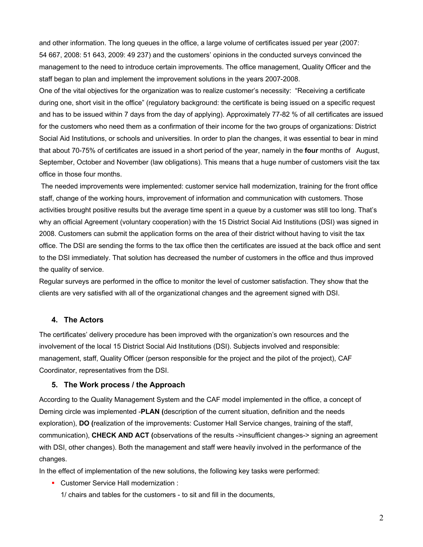and other information. The long queues in the office, a large volume of certificates issued per year (2007: 54 667, 2008: 51 643, 2009: 49 237) and the customers' opinions in the conducted surveys convinced the management to the need to introduce certain improvements. The office management, Quality Officer and the staff began to plan and implement the improvement solutions in the years 2007-2008.

One of the vital objectives for the organization was to realize customer's necessity: "Receiving a certificate during one, short visit in the office" (regulatory background: the certificate is being issued on a specific request and has to be issued within 7 days from the day of applying). Approximately 77-82 % of all certificates are issued for the customers who need them as a confirmation of their income for the two groups of organizations: District Social Aid Institutions, or schools and universities. In order to plan the changes, it was essential to bear in mind that about 70-75% of certificates are issued in a short period of the year, namely in the **four** months of August, September, October and November (law obligations). This means that a huge number of customers visit the tax office in those four months.

The needed improvements were implemented: customer service hall modernization, training for the front office staff, change of the working hours, improvement of information and communication with customers. Those activities brought positive results but the average time spent in a queue by a customer was still too long. That's why an official Agreement (voluntary cooperation) with the 15 District Social Aid Institutions (DSI) was signed in 2008. Customers can submit the application forms on the area of their district without having to visit the tax office. The DSI are sending the forms to the tax office then the certificates are issued at the back office and sent to the DSI immediately. That solution has decreased the number of customers in the office and thus improved the quality of service.

Regular surveys are performed in the office to monitor the level of customer satisfaction. They show that the clients are very satisfied with all of the organizational changes and the agreement signed with DSI.

#### **4. The Actors**

The certificates' delivery procedure has been improved with the organization's own resources and the involvement of the local 15 District Social Aid Institutions (DSI). Subjects involved and responsible: management, staff, Quality Officer (person responsible for the project and the pilot of the project), CAF Coordinator, representatives from the DSI.

#### **5. The Work process / the Approach**

According to the Quality Management System and the CAF model implemented in the office, a concept of Deming circle was implemented -**PLAN (**description of the current situation, definition and the needs exploration), **DO (**realization of the improvements: Customer Hall Service changes, training of the staff, communication), **CHECK AND ACT (**observations of the results ->insufficient changes-> signing an agreement with DSI, other changes). Both the management and staff were heavily involved in the performance of the changes.

In the effect of implementation of the new solutions, the following key tasks were performed:

■ Customer Service Hall modernization :

1/ chairs and tables for the customers - to sit and fill in the documents,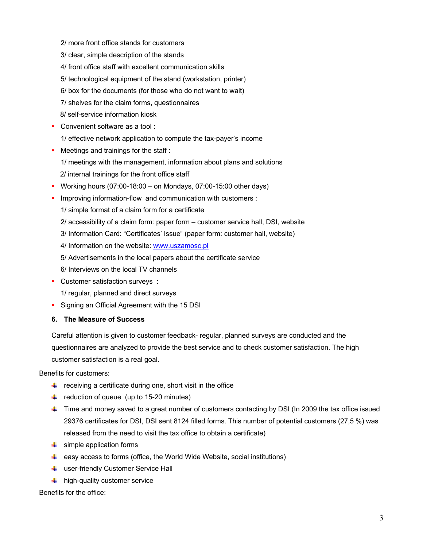- 2/ more front office stands for customers
- 3/ clear, simple description of the stands
- 4/ front office staff with excellent communication skills
- 5/ technological equipment of the stand (workstation, printer)
- 6/ box for the documents (for those who do not want to wait)
- 7/ shelves for the claim forms, questionnaires
- 8/ self-service information kiosk
- Convenient software as a tool :
	- 1/ effective network application to compute the tax-payer's income
- Meetings and trainings for the staff :
	- 1/ meetings with the management, information about plans and solutions
	- 2/ internal trainings for the front office staff
- § Working hours (07:00-18:00 on Mondays, 07:00-15:00 other days)
- **Improving information-flow and communication with customers :** 
	- 1/ simple format of a claim form for a certificate
	- 2/ accessibility of a claim form: paper form customer service hall, DSI, website
	- 3/ Information Card: "Certificates' Issue" (paper form: customer hall, website)
	- 4/ Information on the website: www.uszamosc.pl
	- 5/ Advertisements in the local papers about the certificate service
	- 6/ Interviews on the local TV channels
- Customer satisfaction surveys :
	- 1/ regular, planned and direct surveys
- Signing an Official Agreement with the 15 DSI

#### **6. The Measure of Success**

Careful attention is given to customer feedback- regular, planned surveys are conducted and the questionnaires are analyzed to provide the best service and to check customer satisfaction. The high customer satisfaction is a real goal.

Benefits for customers:

- $\frac{1}{\sqrt{1}}$  receiving a certificate during one, short visit in the office
- $\downarrow$  reduction of queue (up to 15-20 minutes)
- Time and money saved to a great number of customers contacting by DSI (In 2009 the tax office issued 29376 certificates for DSI, DSI sent 8124 filled forms. This number of potential customers (27,5 %) was released from the need to visit the tax office to obtain a certificate)
- $\ddot{\bullet}$  simple application forms
- $\ddot{+}$  easy access to forms (office, the World Wide Website, social institutions)
- **↓** user-friendly Customer Service Hall
- $\ddot{\bullet}$  high-quality customer service

Benefits for the office: